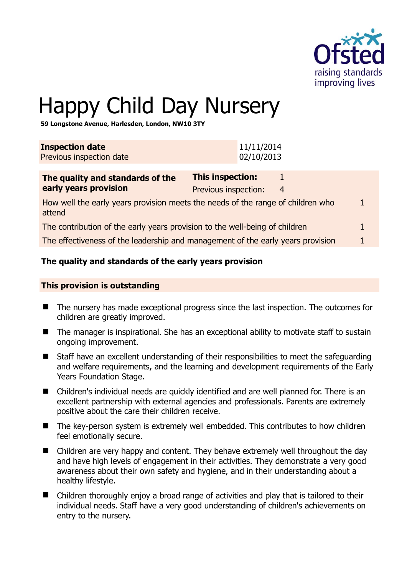

1

# Happy Child Day Nursery

**59 Longstone Avenue, Harlesden, London, NW10 3TY** 

| <b>Inspection date</b><br>Previous inspection date                                        | 11/11/2014<br>02/10/2013                        |     |  |
|-------------------------------------------------------------------------------------------|-------------------------------------------------|-----|--|
| The quality and standards of the<br>early years provision                                 | <b>This inspection:</b><br>Previous inspection: | - 4 |  |
| How well the early years provision meets the needs of the range of children who<br>attend |                                                 |     |  |

| The contribution of the early years provision to the well-being of children |  |
|-----------------------------------------------------------------------------|--|
|-----------------------------------------------------------------------------|--|

The effectiveness of the leadership and management of the early years provision 1

#### **The quality and standards of the early years provision**

#### **This provision is outstanding**

- The nursery has made exceptional progress since the last inspection. The outcomes for children are greatly improved.
- The manager is inspirational. She has an exceptional ability to motivate staff to sustain ongoing improvement.
- Staff have an excellent understanding of their responsibilities to meet the safeguarding and welfare requirements, and the learning and development requirements of the Early Years Foundation Stage.
- Children's individual needs are quickly identified and are well planned for. There is an excellent partnership with external agencies and professionals. Parents are extremely positive about the care their children receive.
- The key-person system is extremely well embedded. This contributes to how children feel emotionally secure.
- Children are very happy and content. They behave extremely well throughout the day and have high levels of engagement in their activities. They demonstrate a very good awareness about their own safety and hygiene, and in their understanding about a healthy lifestyle.
- Children thoroughly enjoy a broad range of activities and play that is tailored to their individual needs. Staff have a very good understanding of children's achievements on entry to the nursery.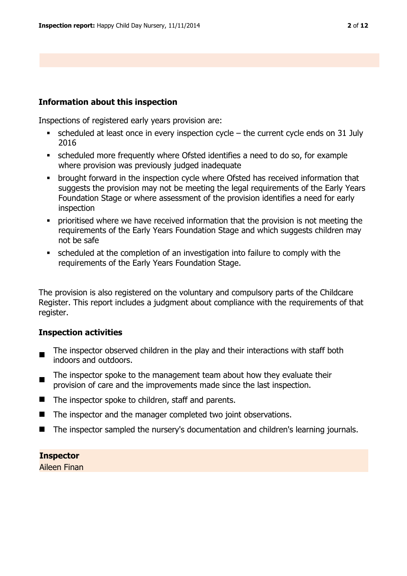#### **Information about this inspection**

Inspections of registered early years provision are:

- scheduled at least once in every inspection cycle the current cycle ends on 31 July 2016
- scheduled more frequently where Ofsted identifies a need to do so, for example where provision was previously judged inadequate
- brought forward in the inspection cycle where Ofsted has received information that suggests the provision may not be meeting the legal requirements of the Early Years Foundation Stage or where assessment of the provision identifies a need for early inspection
- prioritised where we have received information that the provision is not meeting the requirements of the Early Years Foundation Stage and which suggests children may not be safe
- scheduled at the completion of an investigation into failure to comply with the requirements of the Early Years Foundation Stage.

The provision is also registered on the voluntary and compulsory parts of the Childcare Register. This report includes a judgment about compliance with the requirements of that register.

## **Inspection activities**

- $\blacksquare$ The inspector observed children in the play and their interactions with staff both indoors and outdoors.
- The inspector spoke to the management team about how they evaluate their provision of care and the improvements made since the last inspection.
- $\blacksquare$  The inspector spoke to children, staff and parents.
- The inspector and the manager completed two joint observations.
- The inspector sampled the nursery's documentation and children's learning journals.

# **Inspector**

Aileen Finan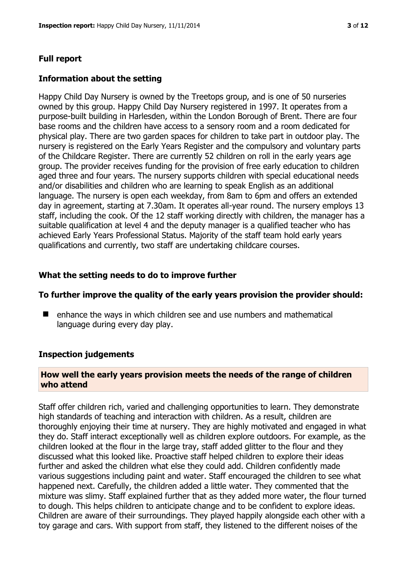# **Full report**

#### **Information about the setting**

Happy Child Day Nursery is owned by the Treetops group, and is one of 50 nurseries owned by this group. Happy Child Day Nursery registered in 1997. It operates from a purpose-built building in Harlesden, within the London Borough of Brent. There are four base rooms and the children have access to a sensory room and a room dedicated for physical play. There are two garden spaces for children to take part in outdoor play. The nursery is registered on the Early Years Register and the compulsory and voluntary parts of the Childcare Register. There are currently 52 children on roll in the early years age group. The provider receives funding for the provision of free early education to children aged three and four years. The nursery supports children with special educational needs and/or disabilities and children who are learning to speak English as an additional language. The nursery is open each weekday, from 8am to 6pm and offers an extended day in agreement, starting at 7.30am. It operates all-year round. The nursery employs 13 staff, including the cook. Of the 12 staff working directly with children, the manager has a suitable qualification at level 4 and the deputy manager is a qualified teacher who has achieved Early Years Professional Status. Majority of the staff team hold early years qualifications and currently, two staff are undertaking childcare courses.

## **What the setting needs to do to improve further**

#### **To further improve the quality of the early years provision the provider should:**

■ enhance the ways in which children see and use numbers and mathematical language during every day play.

## **Inspection judgements**

## **How well the early years provision meets the needs of the range of children who attend**

Staff offer children rich, varied and challenging opportunities to learn. They demonstrate high standards of teaching and interaction with children. As a result, children are thoroughly enjoying their time at nursery. They are highly motivated and engaged in what they do. Staff interact exceptionally well as children explore outdoors. For example, as the children looked at the flour in the large tray, staff added glitter to the flour and they discussed what this looked like. Proactive staff helped children to explore their ideas further and asked the children what else they could add. Children confidently made various suggestions including paint and water. Staff encouraged the children to see what happened next. Carefully, the children added a little water. They commented that the mixture was slimy. Staff explained further that as they added more water, the flour turned to dough. This helps children to anticipate change and to be confident to explore ideas. Children are aware of their surroundings. They played happily alongside each other with a toy garage and cars. With support from staff, they listened to the different noises of the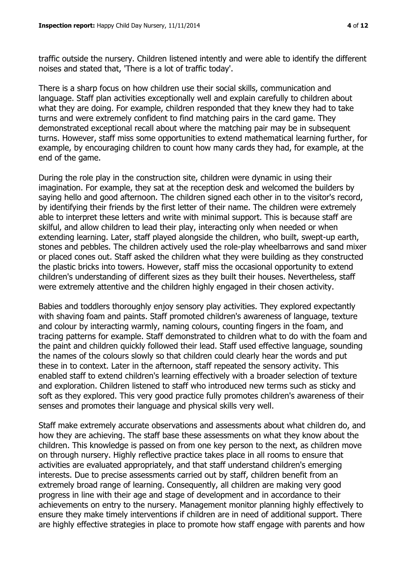traffic outside the nursery. Children listened intently and were able to identify the different noises and stated that, 'There is a lot of traffic today'.

There is a sharp focus on how children use their social skills, communication and language. Staff plan activities exceptionally well and explain carefully to children about what they are doing. For example, children responded that they knew they had to take turns and were extremely confident to find matching pairs in the card game. They demonstrated exceptional recall about where the matching pair may be in subsequent turns. However, staff miss some opportunities to extend mathematical learning further, for example, by encouraging children to count how many cards they had, for example, at the end of the game.

During the role play in the construction site, children were dynamic in using their imagination. For example, they sat at the reception desk and welcomed the builders by saying hello and good afternoon. The children signed each other in to the visitor's record, by identifying their friends by the first letter of their name. The children were extremely able to interpret these letters and write with minimal support. This is because staff are skilful, and allow children to lead their play, interacting only when needed or when extending learning. Later, staff played alongside the children, who built, swept-up earth, stones and pebbles. The children actively used the role-play wheelbarrows and sand mixer or placed cones out. Staff asked the children what they were building as they constructed the plastic bricks into towers. However, staff miss the occasional opportunity to extend children's understanding of different sizes as they built their houses. Nevertheless, staff were extremely attentive and the children highly engaged in their chosen activity.

Babies and toddlers thoroughly enjoy sensory play activities. They explored expectantly with shaving foam and paints. Staff promoted children's awareness of language, texture and colour by interacting warmly, naming colours, counting fingers in the foam, and tracing patterns for example. Staff demonstrated to children what to do with the foam and the paint and children quickly followed their lead. Staff used effective language, sounding the names of the colours slowly so that children could clearly hear the words and put these in to context. Later in the afternoon, staff repeated the sensory activity. This enabled staff to extend children's learning effectively with a broader selection of texture and exploration. Children listened to staff who introduced new terms such as sticky and soft as they explored. This very good practice fully promotes children's awareness of their senses and promotes their language and physical skills very well.

Staff make extremely accurate observations and assessments about what children do, and how they are achieving. The staff base these assessments on what they know about the children. This knowledge is passed on from one key person to the next, as children move on through nursery. Highly reflective practice takes place in all rooms to ensure that activities are evaluated appropriately, and that staff understand children's emerging interests. Due to precise assessments carried out by staff, children benefit from an extremely broad range of learning. Consequently, all children are making very good progress in line with their age and stage of development and in accordance to their achievements on entry to the nursery. Management monitor planning highly effectively to ensure they make timely interventions if children are in need of additional support. There are highly effective strategies in place to promote how staff engage with parents and how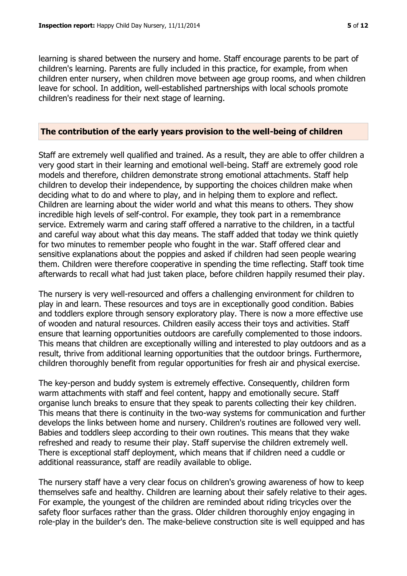learning is shared between the nursery and home. Staff encourage parents to be part of children's learning. Parents are fully included in this practice, for example, from when children enter nursery, when children move between age group rooms, and when children leave for school. In addition, well-established partnerships with local schools promote children's readiness for their next stage of learning.

#### **The contribution of the early years provision to the well-being of children**

Staff are extremely well qualified and trained. As a result, they are able to offer children a very good start in their learning and emotional well-being. Staff are extremely good role models and therefore, children demonstrate strong emotional attachments. Staff help children to develop their independence, by supporting the choices children make when deciding what to do and where to play, and in helping them to explore and reflect. Children are learning about the wider world and what this means to others. They show incredible high levels of self-control. For example, they took part in a remembrance service. Extremely warm and caring staff offered a narrative to the children, in a tactful and careful way about what this day means. The staff added that today we think quietly for two minutes to remember people who fought in the war. Staff offered clear and sensitive explanations about the poppies and asked if children had seen people wearing them. Children were therefore cooperative in spending the time reflecting. Staff took time afterwards to recall what had just taken place, before children happily resumed their play.

The nursery is very well-resourced and offers a challenging environment for children to play in and learn. These resources and toys are in exceptionally good condition. Babies and toddlers explore through sensory exploratory play. There is now a more effective use of wooden and natural resources. Children easily access their toys and activities. Staff ensure that learning opportunities outdoors are carefully complemented to those indoors. This means that children are exceptionally willing and interested to play outdoors and as a result, thrive from additional learning opportunities that the outdoor brings. Furthermore, children thoroughly benefit from regular opportunities for fresh air and physical exercise.

The key-person and buddy system is extremely effective. Consequently, children form warm attachments with staff and feel content, happy and emotionally secure. Staff organise lunch breaks to ensure that they speak to parents collecting their key children. This means that there is continuity in the two-way systems for communication and further develops the links between home and nursery. Children's routines are followed very well. Babies and toddlers sleep according to their own routines. This means that they wake refreshed and ready to resume their play. Staff supervise the children extremely well. There is exceptional staff deployment, which means that if children need a cuddle or additional reassurance, staff are readily available to oblige.

The nursery staff have a very clear focus on children's growing awareness of how to keep themselves safe and healthy. Children are learning about their safely relative to their ages. For example, the youngest of the children are reminded about riding tricycles over the safety floor surfaces rather than the grass. Older children thoroughly enjoy engaging in role-play in the builder's den. The make-believe construction site is well equipped and has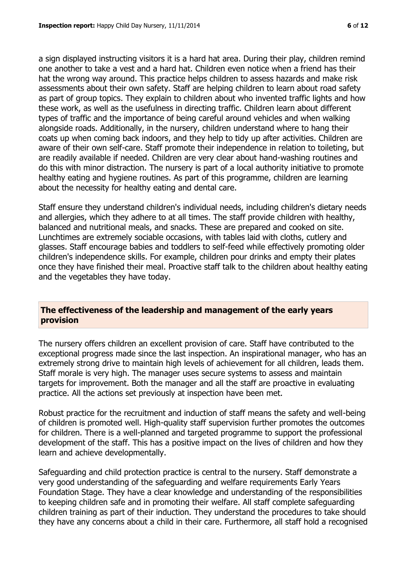a sign displayed instructing visitors it is a hard hat area. During their play, children remind one another to take a vest and a hard hat. Children even notice when a friend has their hat the wrong way around. This practice helps children to assess hazards and make risk assessments about their own safety. Staff are helping children to learn about road safety as part of group topics. They explain to children about who invented traffic lights and how these work, as well as the usefulness in directing traffic. Children learn about different types of traffic and the importance of being careful around vehicles and when walking alongside roads. Additionally, in the nursery, children understand where to hang their coats up when coming back indoors, and they help to tidy up after activities. Children are aware of their own self-care. Staff promote their independence in relation to toileting, but are readily available if needed. Children are very clear about hand-washing routines and do this with minor distraction. The nursery is part of a local authority initiative to promote healthy eating and hygiene routines. As part of this programme, children are learning about the necessity for healthy eating and dental care.

Staff ensure they understand children's individual needs, including children's dietary needs and allergies, which they adhere to at all times. The staff provide children with healthy, balanced and nutritional meals, and snacks. These are prepared and cooked on site. Lunchtimes are extremely sociable occasions, with tables laid with cloths, cutlery and glasses. Staff encourage babies and toddlers to self-feed while effectively promoting older children's independence skills. For example, children pour drinks and empty their plates once they have finished their meal. Proactive staff talk to the children about healthy eating and the vegetables they have today.

## **The effectiveness of the leadership and management of the early years provision**

The nursery offers children an excellent provision of care. Staff have contributed to the exceptional progress made since the last inspection. An inspirational manager, who has an extremely strong drive to maintain high levels of achievement for all children, leads them. Staff morale is very high. The manager uses secure systems to assess and maintain targets for improvement. Both the manager and all the staff are proactive in evaluating practice. All the actions set previously at inspection have been met.

Robust practice for the recruitment and induction of staff means the safety and well-being of children is promoted well. High-quality staff supervision further promotes the outcomes for children. There is a well-planned and targeted programme to support the professional development of the staff. This has a positive impact on the lives of children and how they learn and achieve developmentally.

Safeguarding and child protection practice is central to the nursery. Staff demonstrate a very good understanding of the safeguarding and welfare requirements Early Years Foundation Stage. They have a clear knowledge and understanding of the responsibilities to keeping children safe and in promoting their welfare. All staff complete safeguarding children training as part of their induction. They understand the procedures to take should they have any concerns about a child in their care. Furthermore, all staff hold a recognised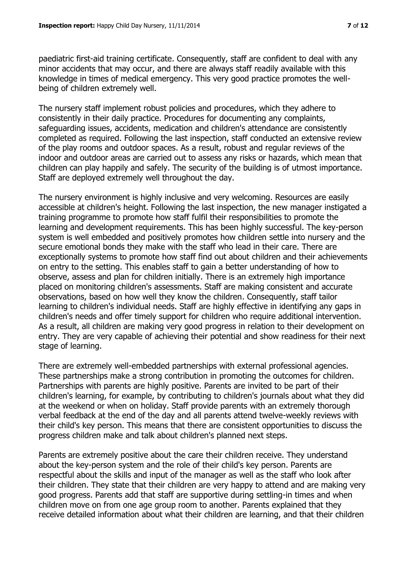paediatric first-aid training certificate. Consequently, staff are confident to deal with any minor accidents that may occur, and there are always staff readily available with this knowledge in times of medical emergency. This very good practice promotes the wellbeing of children extremely well.

The nursery staff implement robust policies and procedures, which they adhere to consistently in their daily practice. Procedures for documenting any complaints, safeguarding issues, accidents, medication and children's attendance are consistently completed as required. Following the last inspection, staff conducted an extensive review of the play rooms and outdoor spaces. As a result, robust and regular reviews of the indoor and outdoor areas are carried out to assess any risks or hazards, which mean that children can play happily and safely. The security of the building is of utmost importance. Staff are deployed extremely well throughout the day.

The nursery environment is highly inclusive and very welcoming. Resources are easily accessible at children's height. Following the last inspection, the new manager instigated a training programme to promote how staff fulfil their responsibilities to promote the learning and development requirements. This has been highly successful. The key-person system is well embedded and positively promotes how children settle into nursery and the secure emotional bonds they make with the staff who lead in their care. There are exceptionally systems to promote how staff find out about children and their achievements on entry to the setting. This enables staff to gain a better understanding of how to observe, assess and plan for children initially. There is an extremely high importance placed on monitoring children's assessments. Staff are making consistent and accurate observations, based on how well they know the children. Consequently, staff tailor learning to children's individual needs. Staff are highly effective in identifying any gaps in children's needs and offer timely support for children who require additional intervention. As a result, all children are making very good progress in relation to their development on entry. They are very capable of achieving their potential and show readiness for their next stage of learning.

There are extremely well-embedded partnerships with external professional agencies. These partnerships make a strong contribution in promoting the outcomes for children. Partnerships with parents are highly positive. Parents are invited to be part of their children's learning, for example, by contributing to children's journals about what they did at the weekend or when on holiday. Staff provide parents with an extremely thorough verbal feedback at the end of the day and all parents attend twelve-weekly reviews with their child's key person. This means that there are consistent opportunities to discuss the progress children make and talk about children's planned next steps.

Parents are extremely positive about the care their children receive. They understand about the key-person system and the role of their child's key person. Parents are respectful about the skills and input of the manager as well as the staff who look after their children. They state that their children are very happy to attend and are making very good progress. Parents add that staff are supportive during settling-in times and when children move on from one age group room to another. Parents explained that they receive detailed information about what their children are learning, and that their children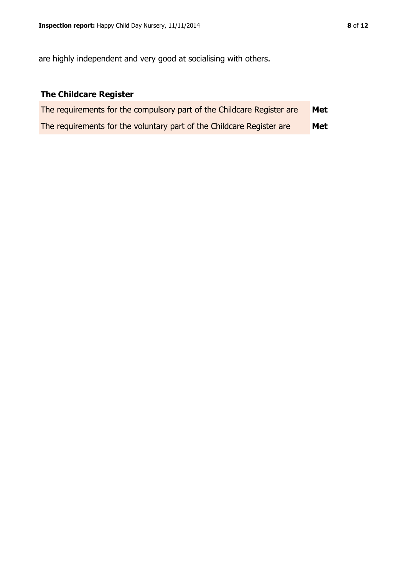are highly independent and very good at socialising with others.

# **The Childcare Register**

| The requirements for the compulsory part of the Childcare Register are | Met |
|------------------------------------------------------------------------|-----|
| The requirements for the voluntary part of the Childcare Register are  | Met |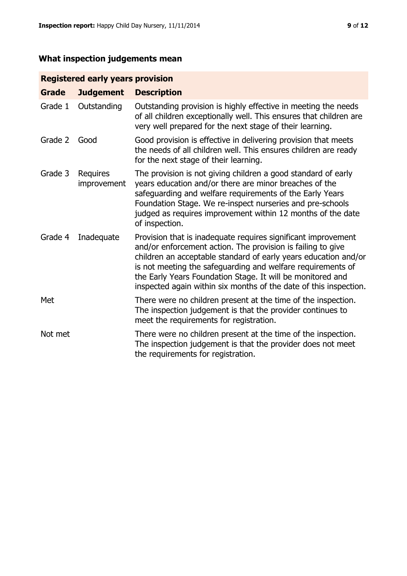# **What inspection judgements mean**

# **Registered early years provision**

| <b>Grade</b> | <b>Judgement</b>        | <b>Description</b>                                                                                                                                                                                                                                                                                                                                                                                |
|--------------|-------------------------|---------------------------------------------------------------------------------------------------------------------------------------------------------------------------------------------------------------------------------------------------------------------------------------------------------------------------------------------------------------------------------------------------|
| Grade 1      | Outstanding             | Outstanding provision is highly effective in meeting the needs<br>of all children exceptionally well. This ensures that children are<br>very well prepared for the next stage of their learning.                                                                                                                                                                                                  |
| Grade 2      | Good                    | Good provision is effective in delivering provision that meets<br>the needs of all children well. This ensures children are ready<br>for the next stage of their learning.                                                                                                                                                                                                                        |
| Grade 3      | Requires<br>improvement | The provision is not giving children a good standard of early<br>years education and/or there are minor breaches of the<br>safeguarding and welfare requirements of the Early Years<br>Foundation Stage. We re-inspect nurseries and pre-schools<br>judged as requires improvement within 12 months of the date<br>of inspection.                                                                 |
| Grade 4      | Inadequate              | Provision that is inadequate requires significant improvement<br>and/or enforcement action. The provision is failing to give<br>children an acceptable standard of early years education and/or<br>is not meeting the safeguarding and welfare requirements of<br>the Early Years Foundation Stage. It will be monitored and<br>inspected again within six months of the date of this inspection. |
| Met          |                         | There were no children present at the time of the inspection.<br>The inspection judgement is that the provider continues to<br>meet the requirements for registration.                                                                                                                                                                                                                            |
| Not met      |                         | There were no children present at the time of the inspection.<br>The inspection judgement is that the provider does not meet<br>the requirements for registration.                                                                                                                                                                                                                                |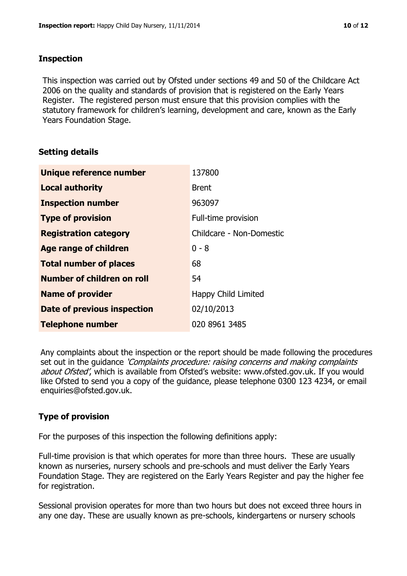#### **Inspection**

This inspection was carried out by Ofsted under sections 49 and 50 of the Childcare Act 2006 on the quality and standards of provision that is registered on the Early Years Register. The registered person must ensure that this provision complies with the statutory framework for children's learning, development and care, known as the Early Years Foundation Stage.

## **Setting details**

| Unique reference number            | 137800                   |
|------------------------------------|--------------------------|
| <b>Local authority</b>             | <b>Brent</b>             |
| <b>Inspection number</b>           | 963097                   |
| <b>Type of provision</b>           | Full-time provision      |
| <b>Registration category</b>       | Childcare - Non-Domestic |
| <b>Age range of children</b>       | $0 - 8$                  |
| <b>Total number of places</b>      | 68                       |
| Number of children on roll         | 54                       |
| <b>Name of provider</b>            | Happy Child Limited      |
| <b>Date of previous inspection</b> | 02/10/2013               |
| <b>Telephone number</b>            | 020 8961 3485            |

Any complaints about the inspection or the report should be made following the procedures set out in the guidance *'Complaints procedure: raising concerns and making complaints* about Ofsted', which is available from Ofsted's website: www.ofsted.gov.uk. If you would like Ofsted to send you a copy of the guidance, please telephone 0300 123 4234, or email enquiries@ofsted.gov.uk.

## **Type of provision**

For the purposes of this inspection the following definitions apply:

Full-time provision is that which operates for more than three hours. These are usually known as nurseries, nursery schools and pre-schools and must deliver the Early Years Foundation Stage. They are registered on the Early Years Register and pay the higher fee for registration.

Sessional provision operates for more than two hours but does not exceed three hours in any one day. These are usually known as pre-schools, kindergartens or nursery schools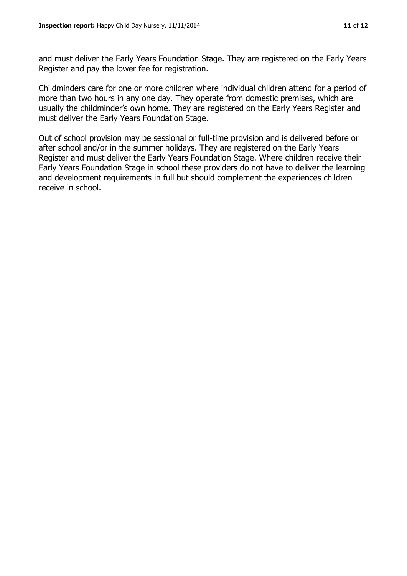and must deliver the Early Years Foundation Stage. They are registered on the Early Years Register and pay the lower fee for registration.

Childminders care for one or more children where individual children attend for a period of more than two hours in any one day. They operate from domestic premises, which are usually the childminder's own home. They are registered on the Early Years Register and must deliver the Early Years Foundation Stage.

Out of school provision may be sessional or full-time provision and is delivered before or after school and/or in the summer holidays. They are registered on the Early Years Register and must deliver the Early Years Foundation Stage. Where children receive their Early Years Foundation Stage in school these providers do not have to deliver the learning and development requirements in full but should complement the experiences children receive in school.